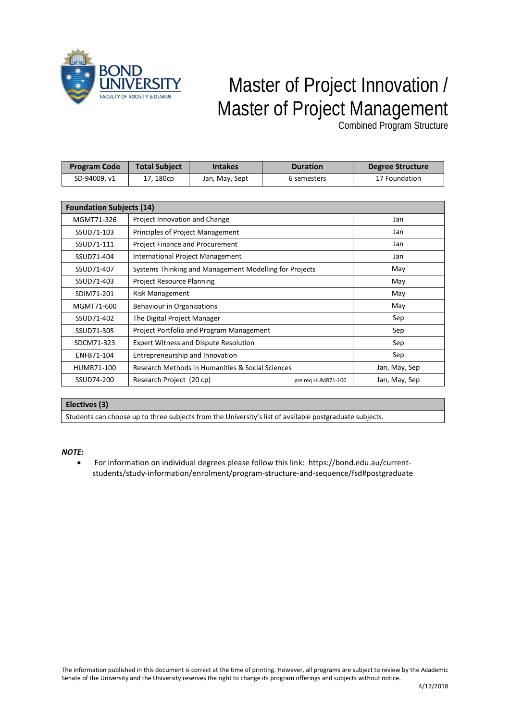

## Master of Project Innovation / Master of Project Management

Combined Program Structure

| <b>Program Code</b>             | <b>Total Subject</b>                                   | <b>Intakes</b> | <b>Duration</b> | <b>Degree Structure</b> |  |  |  |  |  |
|---------------------------------|--------------------------------------------------------|----------------|-----------------|-------------------------|--|--|--|--|--|
| SD-94009, v1                    | 17, 180cp                                              | Jan, May, Sept | 6 semesters     | 17 Foundation           |  |  |  |  |  |
|                                 |                                                        |                |                 |                         |  |  |  |  |  |
| <b>Foundation Subjects (14)</b> |                                                        |                |                 |                         |  |  |  |  |  |
| MGMT71-326                      | Project Innovation and Change                          | Jan            |                 |                         |  |  |  |  |  |
| SSUD71-103                      | Principles of Project Management                       | Jan            |                 |                         |  |  |  |  |  |
| SSUD71-111                      | Project Finance and Procurement                        | Jan            |                 |                         |  |  |  |  |  |
| SSUD71-404                      | International Project Management                       | Jan            |                 |                         |  |  |  |  |  |
| SSUD71-407                      | Systems Thinking and Management Modelling for Projects | May            |                 |                         |  |  |  |  |  |
| SSUD71-403                      | <b>Project Resource Planning</b>                       | May            |                 |                         |  |  |  |  |  |
| SDIM71-201                      | <b>Risk Management</b>                                 | May            |                 |                         |  |  |  |  |  |
| MGMT71-600                      | Behaviour in Organisations                             | May            |                 |                         |  |  |  |  |  |
| SSUD71-402                      | The Digital Project Manager                            | Sep            |                 |                         |  |  |  |  |  |
| SSUD71-305                      | Project Portfolio and Program Management               | Sep            |                 |                         |  |  |  |  |  |
| SDCM71-323                      | <b>Expert Witness and Dispute Resolution</b>           | Sep            |                 |                         |  |  |  |  |  |
| ENFB71-104                      | Entrepreneurship and Innovation                        | Sep            |                 |                         |  |  |  |  |  |
| HUMR71-100                      | Research Methods in Humanities & Social Sciences       | Jan, May, Sep  |                 |                         |  |  |  |  |  |
| SSUD74-200                      | Research Project (20 cp)                               | Jan, May, Sep  |                 |                         |  |  |  |  |  |

## **Electives (3)**

Students can choose up to three subjects from the University's list of available postgraduate subjects.

## *NOTE:*

• For information on individual degrees please follow this link: https://bond.edu.au/currentstudents/study-information/enrolment/program-structure-and-sequence/fsd#postgraduate